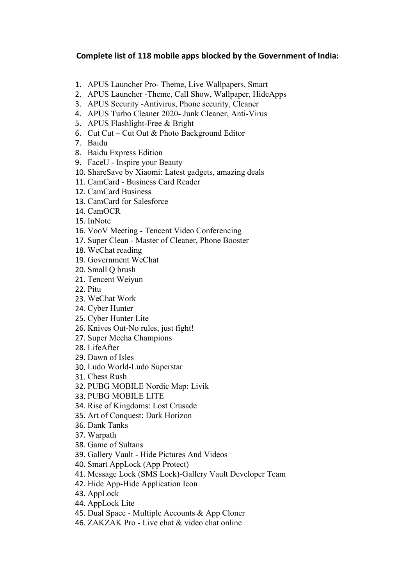## **Complete list of 118 mobile apps blocked bythe Government of India:**

- 1. APUS Launcher Pro- Theme, Live Wallpapers, Smart
- 2. APUS Launcher -Theme, Call Show, Wallpaper, HideApps
- 3. APUS Security -Antivirus, Phone security, Cleaner
- 4. APUS Turbo Cleaner 2020- Junk Cleaner, Anti-Virus
- 5. APUS Flashlight-Free & Bright
- 6. Cut Cut Cut Out & Photo Background Editor
- 7. Baidu
- 8. Baidu Express Edition
- 9. FaceU Inspire your Beauty
- 10. ShareSave by Xiaomi: Latest gadgets, amazing deals
- 11. CamCard Business Card Reader
- 12. CamCard Business
- 13. CamCard for Salesforce
- 14. CamOCR
- 15. InNote
- 16. VooV Meeting Tencent Video Conferencing
- 17. Super Clean Master of Cleaner, Phone Booster
- 18. WeChat reading
- 19. Government WeChat
- 20. Small Q brush
- 21. Tencent Weiyun
- 22. Pitu
- 23. WeChat Work
- 24. Cyber Hunter
- 25. Cyber Hunter Lite
- 26. Knives Out-No rules, just fight!
- 27. Super Mecha Champions
- 28. LifeAfter
- 29. Dawn of Isles
- 30. Ludo World-Ludo Superstar
- 31. Chess Rush
- 32. PUBG MOBILE Nordic Map: Livik
- 33. PUBG MOBILE LITE
- 34. Rise of Kingdoms: Lost Crusade
- 35. Art of Conquest: Dark Horizon
- 36. Dank Tanks
- 37. Warpath
- 38. Game of Sultans
- 39. Gallery Vault Hide Pictures And Videos
- 40. Smart AppLock (App Protect)
- 41. Message Lock (SMS Lock)-Gallery Vault Developer Team
- 42. Hide App-Hide Application Icon
- 43. AppLock
- 44. AppLock Lite
- 45. Dual Space Multiple Accounts & App Cloner
- 46. ZAKZAK Pro Live chat & video chat online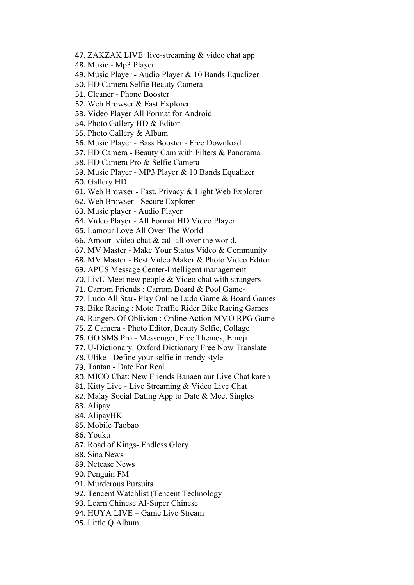- 47. ZAKZAK LIVE: live-streaming & video chat app
- 48. Music Mp3 Player
- 49. Music Player Audio Player & 10 Bands Equalizer
- 50. HD Camera Selfie Beauty Camera
- 51. Cleaner Phone Booster
- 52. Web Browser & Fast Explorer
- 53. Video Player All Format for Android
- 54. Photo Gallery HD & Editor
- 55. Photo Gallery & Album
- 56. Music Player Bass Booster Free Download
- 57. HD Camera Beauty Cam with Filters & Panorama
- 58. HD Camera Pro & Selfie Camera
- 59. Music Player MP3 Player & 10 Bands Equalizer
- 60. Gallery HD
- 61. Web Browser Fast, Privacy & Light Web Explorer
- 62. Web Browser Secure Explorer
- 63. Music player Audio Player
- 64. Video Player All Format HD Video Player
- 65. Lamour Love All Over The World
- 66. Amour- video chat & call all over the world.
- 67. MV Master Make Your Status Video & Community
- 68. MV Master Best Video Maker & Photo Video Editor
- 69. APUS Message Center-Intelligent management
- 70. LivU Meet new people & Video chat with strangers
- 71. Carrom Friends : Carrom Board & Pool Game-
- 72. Ludo All Star- Play Online Ludo Game & Board Games
- 73. Bike Racing : Moto Traffic Rider Bike Racing Games
- 74. Rangers Of Oblivion : Online Action MMO RPG Game
- 75. Z Camera Photo Editor, Beauty Selfie, Collage
- 76. GO SMS Pro Messenger, Free Themes, Emoji
- 77. U-Dictionary: Oxford Dictionary Free Now Translate
- 78. Ulike Define your selfie in trendy style
- 79. Tantan Date For Real
- 80. MICO Chat: New Friends Banaen aur Live Chat karen
- 81. Kitty Live Live Streaming & Video Live Chat
- 82. Malay Social Dating App to Date & Meet Singles
- 83. Alipay
- 84. AlipayHK
- 85. Mobile Taobao
- 86. Youku
- 87. Road of Kings- Endless Glory
- 88. Sina News
- 89. Netease News
- 90. Penguin FM
- 91. Murderous Pursuits
- 92. Tencent Watchlist (Tencent Technology
- 93. Learn Chinese AI-Super Chinese
- 94. HUYA LIVE Game Live Stream
- 95. Little Q Album